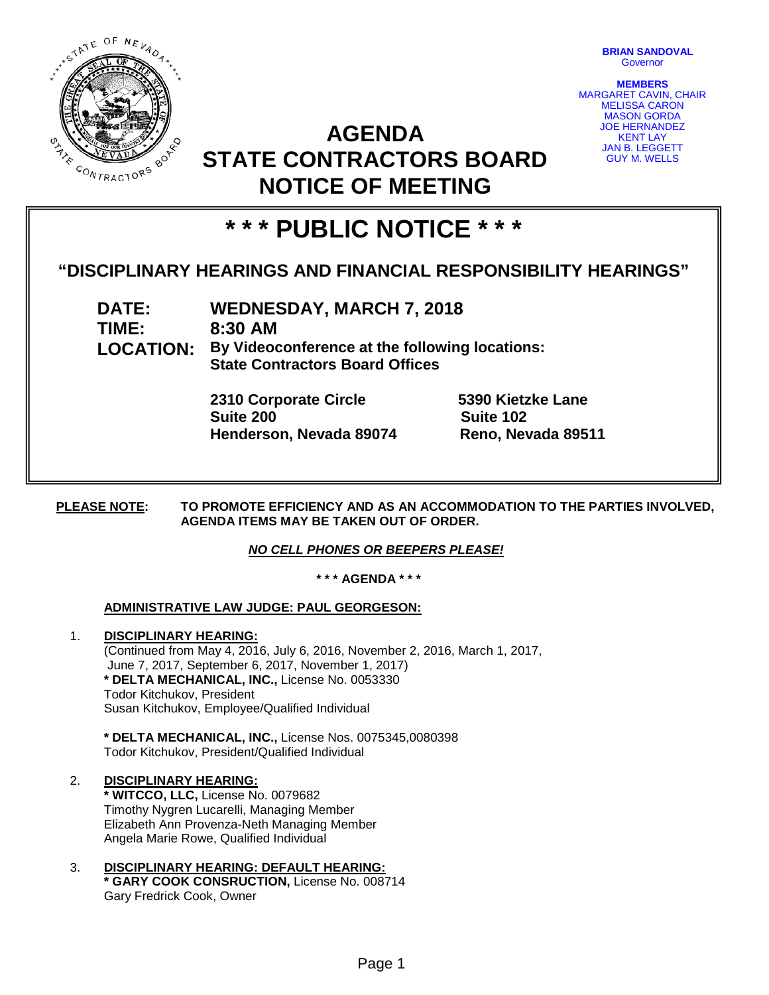

**BRIAN SANDOVAL Governor** 

**MEMBERS** MARGARET CAVIN, CHAIR MELISSA CARON MASON GORDA JOE HERNANDEZ KENT LAY JAN B. LEGGETT GUY M. WELLS

# **AGENDA STATE CONTRACTORS BOARD NOTICE OF MEETING**

# **\* \* \* PUBLIC NOTICE \* \* \***

# **"DISCIPLINARY HEARINGS AND FINANCIAL RESPONSIBILITY HEARINGS"**

**DATE: WEDNESDAY, MARCH 7, 2018 TIME: 8:30 AM LOCATION: By Videoconference at the following locations: State Contractors Board Offices**

> **2310 Corporate Circle 5390 Kietzke Lane Suite 200 Suite 102 Henderson, Nevada 89074 Reno, Nevada 89511**

**PLEASE NOTE: TO PROMOTE EFFICIENCY AND AS AN ACCOMMODATION TO THE PARTIES INVOLVED, AGENDA ITEMS MAY BE TAKEN OUT OF ORDER.**

# *NO CELL PHONES OR BEEPERS PLEASE!*

**\* \* \* AGENDA \* \* \***

# **ADMINISTRATIVE LAW JUDGE: PAUL GEORGESON:**

1. **DISCIPLINARY HEARING:**  (Continued from May 4, 2016, July 6, 2016, November 2, 2016, March 1, 2017, June 7, 2017, September 6, 2017, November 1, 2017) **\* DELTA MECHANICAL, INC.,** License No. 0053330 Todor Kitchukov, President Susan Kitchukov, Employee/Qualified Individual

**\* DELTA MECHANICAL, INC.,** License Nos. 0075345,0080398 Todor Kitchukov, President/Qualified Individual

### 2. **DISCIPLINARY HEARING:**

**\* WITCCO, LLC,** License No. 0079682 Timothy Nygren Lucarelli, Managing Member Elizabeth Ann Provenza-Neth Managing Member Angela Marie Rowe, Qualified Individual

3. **DISCIPLINARY HEARING: DEFAULT HEARING: \* GARY COOK CONSRUCTION,** License No. 008714 Gary Fredrick Cook, Owner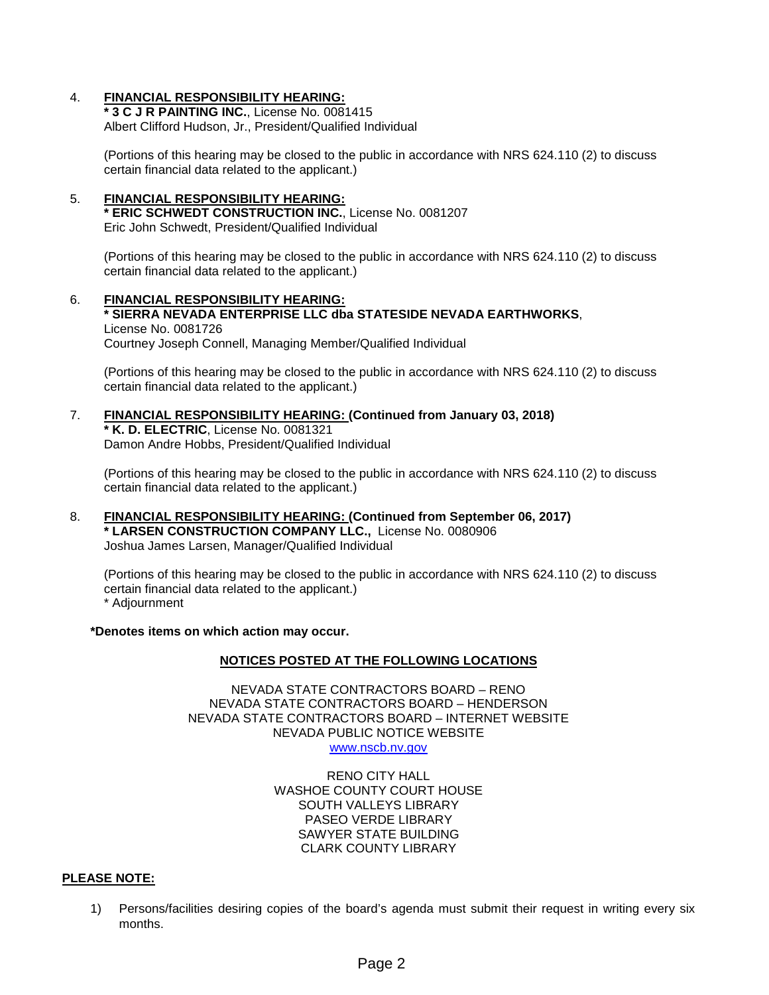### 4. **FINANCIAL RESPONSIBILITY HEARING:**

**\* 3 C J R PAINTING INC.**, License No. 0081415 Albert Clifford Hudson, Jr., President/Qualified Individual

(Portions of this hearing may be closed to the public in accordance with NRS 624.110 (2) to discuss certain financial data related to the applicant.)

#### 5. **FINANCIAL RESPONSIBILITY HEARING: \* ERIC SCHWEDT CONSTRUCTION INC.**, License No. 0081207 Eric John Schwedt, President/Qualified Individual

(Portions of this hearing may be closed to the public in accordance with NRS 624.110 (2) to discuss certain financial data related to the applicant.)

6. **FINANCIAL RESPONSIBILITY HEARING: \* SIERRA NEVADA ENTERPRISE LLC dba STATESIDE NEVADA EARTHWORKS**, License No. 0081726 Courtney Joseph Connell, Managing Member/Qualified Individual

(Portions of this hearing may be closed to the public in accordance with NRS 624.110 (2) to discuss certain financial data related to the applicant.)

7. **FINANCIAL RESPONSIBILITY HEARING: (Continued from January 03, 2018) \* K. D. ELECTRIC**, License No. 0081321 Damon Andre Hobbs, President/Qualified Individual

(Portions of this hearing may be closed to the public in accordance with NRS 624.110 (2) to discuss certain financial data related to the applicant.)

8. **FINANCIAL RESPONSIBILITY HEARING: (Continued from September 06, 2017) \* LARSEN CONSTRUCTION COMPANY LLC.,** License No. 0080906 Joshua James Larsen, Manager/Qualified Individual

(Portions of this hearing may be closed to the public in accordance with NRS 624.110 (2) to discuss certain financial data related to the applicant.) \* Adjournment

**\*Denotes items on which action may occur.**

#### **NOTICES POSTED AT THE FOLLOWING LOCATIONS**

NEVADA STATE CONTRACTORS BOARD – RENO NEVADA STATE CONTRACTORS BOARD – HENDERSON NEVADA STATE CONTRACTORS BOARD – INTERNET WEBSITE NEVADA PUBLIC NOTICE WEBSITE [www.nscb.nv.gov](http://www.nscb.state.nv.us/)

> RENO CITY HALL WASHOE COUNTY COURT HOUSE SOUTH VALLEYS LIBRARY PASEO VERDE LIBRARY SAWYER STATE BUILDING CLARK COUNTY LIBRARY

#### **PLEASE NOTE:**

1) Persons/facilities desiring copies of the board's agenda must submit their request in writing every six months.